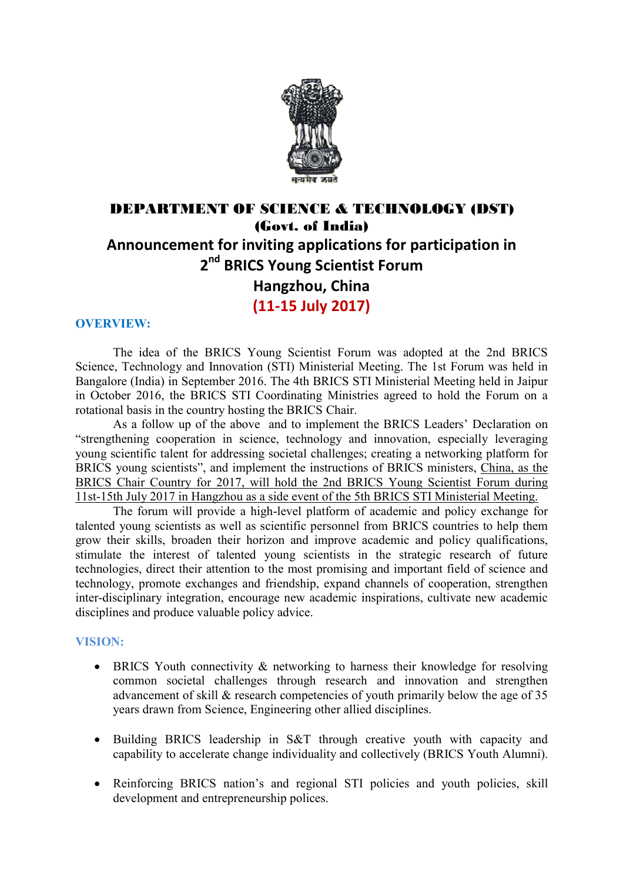

## DEPARTMENT OF SCIENCE & TECHNOLOGY (DST) (Govt. of India) **Announcement for inviting applications for participation in 2 nd BRICS Young Scientist Forum Hangzhou, China (11-15 July 2017)**

#### **OVERVIEW:**

The idea of the BRICS Young Scientist Forum was adopted at the 2nd BRICS Science, Technology and Innovation (STI) Ministerial Meeting. The 1st Forum was held in Bangalore (India) in September 2016. The 4th BRICS STI Ministerial Meeting held in Jaipur in October 2016, the BRICS STI Coordinating Ministries agreed to hold the Forum on a rotational basis in the country hosting the BRICS Chair.

As a follow up of the above and to implement the BRICS Leaders' Declaration on "strengthening cooperation in science, technology and innovation, especially leveraging young scientific talent for addressing societal challenges; creating a networking platform for BRICS young scientists", and implement the instructions of BRICS ministers, China, as the BRICS Chair Country for 2017, will hold the 2nd BRICS Young Scientist Forum during 11st-15th July 2017 in Hangzhou as a side event of the 5th BRICS STI Ministerial Meeting.

The forum will provide a high-level platform of academic and policy exchange for talented young scientists as well as scientific personnel from BRICS countries to help them grow their skills, broaden their horizon and improve academic and policy qualifications, stimulate the interest of talented young scientists in the strategic research of future technologies, direct their attention to the most promising and important field of science and technology, promote exchanges and friendship, expand channels of cooperation, strengthen inter-disciplinary integration, encourage new academic inspirations, cultivate new academic disciplines and produce valuable policy advice.

#### **VISION:**

- BRICS Youth connectivity & networking to harness their knowledge for resolving common societal challenges through research and innovation and strengthen advancement of skill & research competencies of youth primarily below the age of 35 years drawn from Science, Engineering other allied disciplines.
- Building BRICS leadership in S&T through creative youth with capacity and capability to accelerate change individuality and collectively (BRICS Youth Alumni).
- Reinforcing BRICS nation's and regional STI policies and youth policies, skill development and entrepreneurship polices.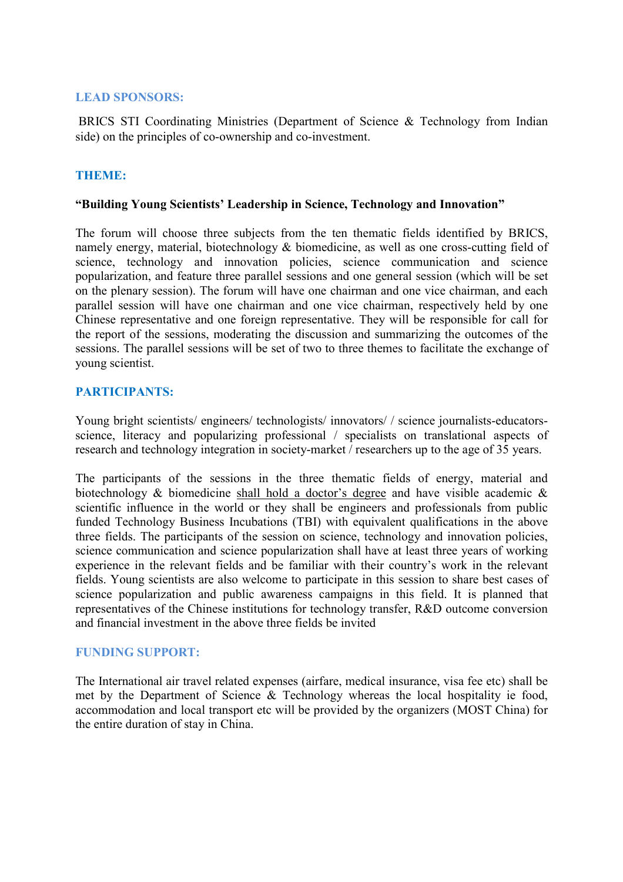#### **LEAD SPONSORS:**

 BRICS STI Coordinating Ministries (Department of Science & Technology from Indian side) on the principles of co-ownership and co-investment.

#### **THEME:**

#### **"Building Young Scientists' Leadership in Science, Technology and Innovation"**

The forum will choose three subjects from the ten thematic fields identified by BRICS, namely energy, material, biotechnology & biomedicine, as well as one cross-cutting field of science, technology and innovation policies, science communication and science popularization, and feature three parallel sessions and one general session (which will be set on the plenary session). The forum will have one chairman and one vice chairman, and each parallel session will have one chairman and one vice chairman, respectively held by one Chinese representative and one foreign representative. They will be responsible for call for the report of the sessions, moderating the discussion and summarizing the outcomes of the sessions. The parallel sessions will be set of two to three themes to facilitate the exchange of young scientist.

#### **PARTICIPANTS:**

Young bright scientists/ engineers/ technologists/ innovators/ / science journalists-educatorsscience, literacy and popularizing professional / specialists on translational aspects of research and technology integration in society-market / researchers up to the age of 35 years.

The participants of the sessions in the three thematic fields of energy, material and biotechnology & biomedicine shall hold a doctor's degree and have visible academic & scientific influence in the world or they shall be engineers and professionals from public funded Technology Business Incubations (TBI) with equivalent qualifications in the above three fields. The participants of the session on science, technology and innovation policies, science communication and science popularization shall have at least three years of working experience in the relevant fields and be familiar with their country's work in the relevant fields. Young scientists are also welcome to participate in this session to share best cases of science popularization and public awareness campaigns in this field. It is planned that representatives of the Chinese institutions for technology transfer, R&D outcome conversion and financial investment in the above three fields be invited

#### **FUNDING SUPPORT:**

The International air travel related expenses (airfare, medical insurance, visa fee etc) shall be met by the Department of Science & Technology whereas the local hospitality ie food, accommodation and local transport etc will be provided by the organizers (MOST China) for the entire duration of stay in China.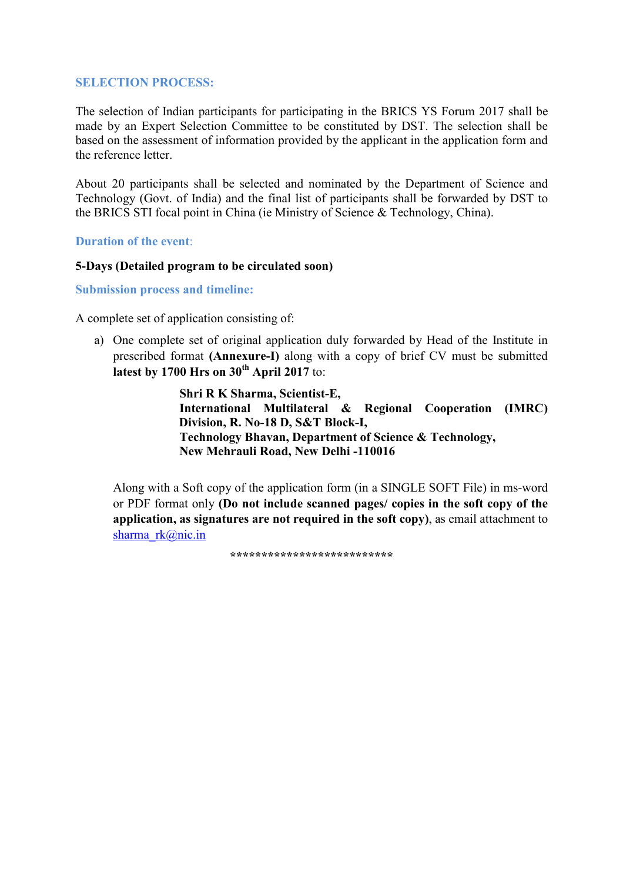#### **SELECTION PROCESS:**

The selection of Indian participants for participating in the BRICS YS Forum 2017 shall be made by an Expert Selection Committee to be constituted by DST. The selection shall be based on the assessment of information provided by the applicant in the application form and the reference letter.

About 20 participants shall be selected and nominated by the Department of Science and Technology (Govt. of India) and the final list of participants shall be forwarded by DST to the BRICS STI focal point in China (ie Ministry of Science & Technology, China).

#### **Duration of the event**:

#### **5-Days (Detailed program to be circulated soon)**

**Submission process and timeline:** 

A complete set of application consisting of:

a) One complete set of original application duly forwarded by Head of the Institute in prescribed format **(Annexure-I)** along with a copy of brief CV must be submitted **latest by 1700 Hrs on 30th April 2017** to:

> **Shri R K Sharma, Scientist-E, International Multilateral & Regional Cooperation (IMRC) Division, R. No-18 D, S&T Block-I, Technology Bhavan, Department of Science & Technology, New Mehrauli Road, New Delhi -110016**

Along with a Soft copy of the application form (in a SINGLE SOFT File) in ms-word or PDF format only **(Do not include scanned pages/ copies in the soft copy of the application, as signatures are not required in the soft copy)**, as email attachment to sharma rk@nic.in

 **\*\*\*\*\*\*\*\*\*\*\*\*\*\*\*\*\*\*\*\*\*\*\*\*\*\***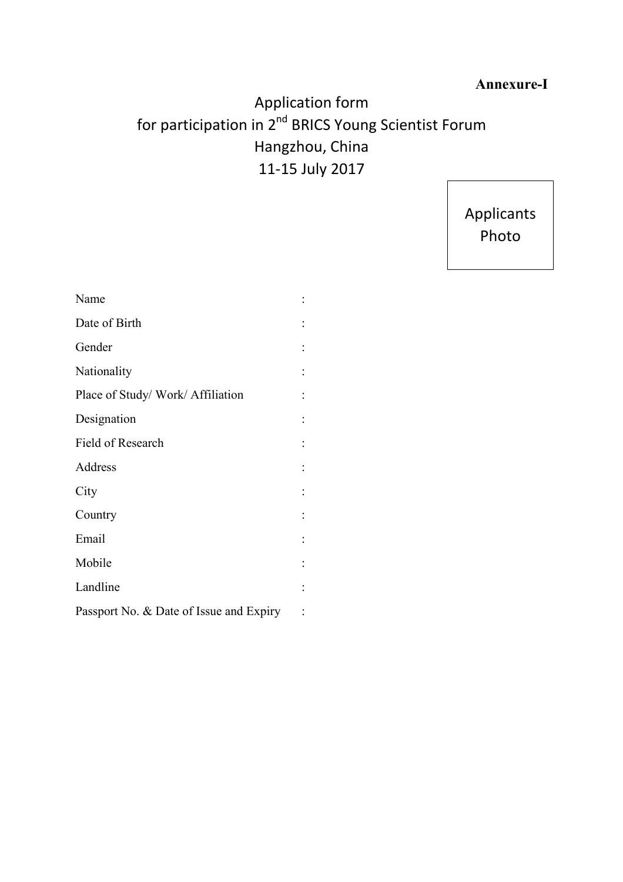### **Annexure-I**

# Application form for participation in 2<sup>nd</sup> BRICS Young Scientist Forum Hangzhou, China 11-15 July 2017

Applicants Photo

| Name                                    |                |
|-----------------------------------------|----------------|
| Date of Birth                           |                |
| Gender                                  |                |
| Nationality                             |                |
| Place of Study/Work/Affiliation         |                |
| Designation                             |                |
| Field of Research                       |                |
| Address                                 |                |
| City                                    |                |
| Country                                 |                |
| Email                                   |                |
| Mobile                                  | $\ddot{\cdot}$ |
| Landline                                | $\vdots$       |
| Passport No. & Date of Issue and Expiry |                |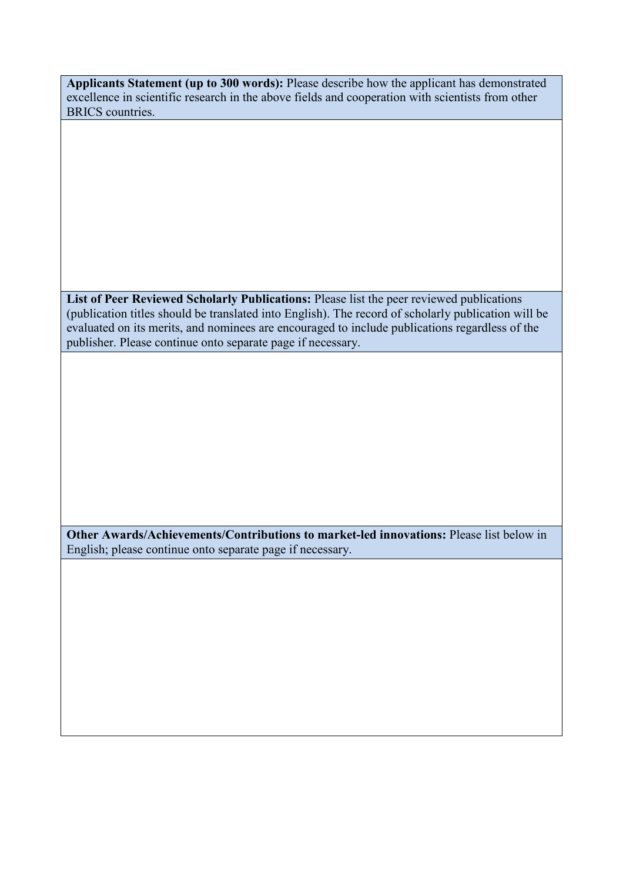**Applicants Statement (up to 300 words):** Please describe how the applicant has demonstrated excellence in scientific research in the above fields and cooperation with scientists from other BRICS countries.

**List of Peer Reviewed Scholarly Publications:** Please list the peer reviewed publications (publication titles should be translated into English). The record of scholarly publication will be evaluated on its merits, and nominees are encouraged to include publications regardless of the publisher. Please continue onto separate page if necessary.

**Other Awards/Achievements/Contributions to market-led innovations:** Please list below in English; please continue onto separate page if necessary.